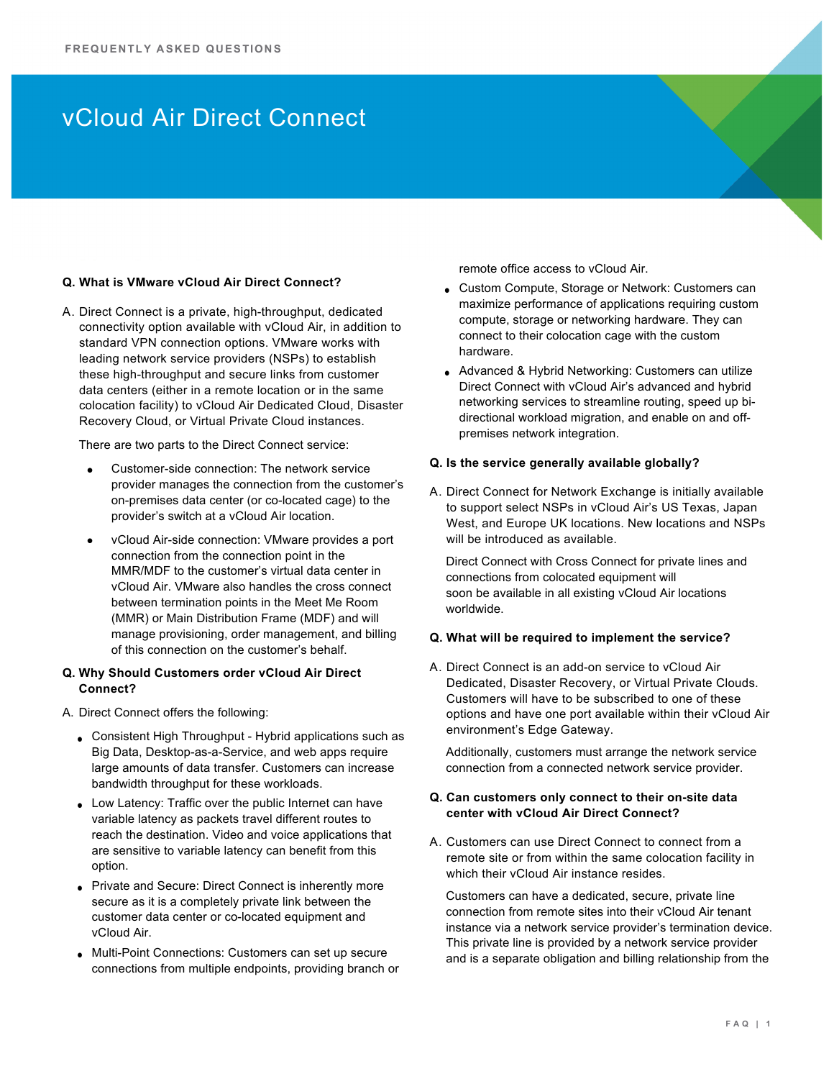## vCloud Air Direct Connect

#### **Q. What is VMware vCloud Air Direct Connect?**

A. Direct Connect is a private, high-throughput, dedicated connectivity option available with vCloud Air, in addition to standard VPN connection options. VMware works with leading network service providers (NSPs) to establish these high-throughput and secure links from customer data centers (either in a remote location or in the same colocation facility) to vCloud Air Dedicated Cloud, Disaster Recovery Cloud, or Virtual Private Cloud instances.

There are two parts to the Direct Connect service:

- Customer-side connection: The network service provider manages the connection from the customer's on-premises data center (or co-located cage) to the provider's switch at a vCloud Air location.
- vCloud Air-side connection: VMware provides a port connection from the connection point in the MMR/MDF to the customer's virtual data center in vCloud Air. VMware also handles the cross connect between termination points in the Meet Me Room (MMR) or Main Distribution Frame (MDF) and will manage provisioning, order management, and billing of this connection on the customer's behalf.

## **Q. Why Should Customers order vCloud Air Direct Connect?**

- A. Direct Connect offers the following:
	- Consistent High Throughput Hybrid applications such as Big Data, Desktop-as-a-Service, and web apps require large amounts of data transfer. Customers can increase bandwidth throughput for these workloads.
	- Low Latency: Traffic over the public Internet can have variable latency as packets travel different routes to reach the destination. Video and voice applications that are sensitive to variable latency can benefit from this option.
	- Private and Secure: Direct Connect is inherently more secure as it is a completely private link between the customer data center or co-located equipment and vCloud Air.
	- Multi-Point Connections: Customers can set up secure connections from multiple endpoints, providing branch or

remote office access to vCloud Air.

- Custom Compute, Storage or Network: Customers can maximize performance of applications requiring custom compute, storage or networking hardware. They can connect to their colocation cage with the custom hardware.
- Advanced & Hybrid Networking: Customers can utilize Direct Connect with vCloud Air's advanced and hybrid networking services to streamline routing, speed up bidirectional workload migration, and enable on and offpremises network integration.

#### **Q. Is the service generally available globally?**

A. Direct Connect for Network Exchange is initially available to support select NSPs in vCloud Air's US Texas, Japan West, and Europe UK locations. New locations and NSPs will be introduced as available.

Direct Connect with Cross Connect for private lines and connections from colocated equipment will soon be available in all existing vCloud Air locations worldwide.

### **Q. What will be required to implement the service?**

A. Direct Connect is an add-on service to vCloud Air Dedicated, Disaster Recovery, or Virtual Private Clouds. Customers will have to be subscribed to one of these options and have one port available within their vCloud Air environment's Edge Gateway.

Additionally, customers must arrange the network service connection from a connected network service provider.

## **Q. Can customers only connect to their on-site data center with vCloud Air Direct Connect?**

A. Customers can use Direct Connect to connect from a remote site or from within the same colocation facility in which their vCloud Air instance resides.

Customers can have a dedicated, secure, private line connection from remote sites into their vCloud Air tenant instance via a network service provider's termination device. This private line is provided by a network service provider and is a separate obligation and billing relationship from the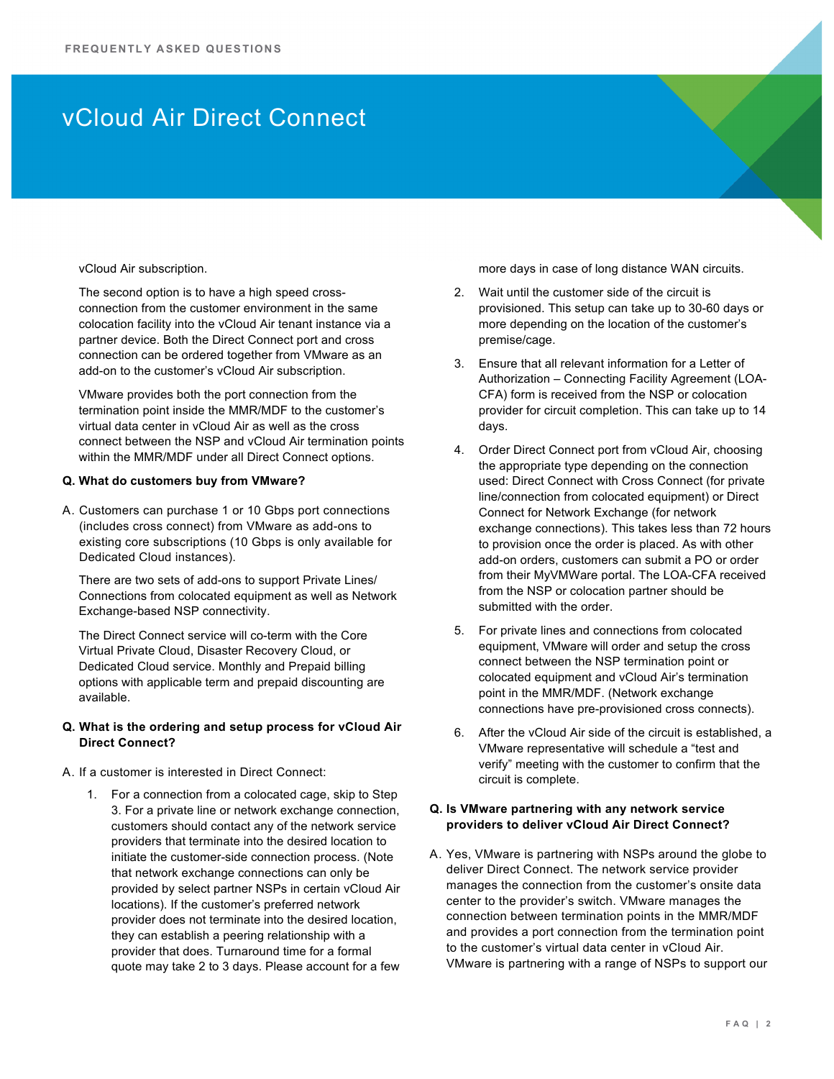## vCloud Air Direct Connect

#### vCloud Air subscription.

The second option is to have a high speed crossconnection from the customer environment in the same colocation facility into the vCloud Air tenant instance via a partner device. Both the Direct Connect port and cross connection can be ordered together from VMware as an add-on to the customer's vCloud Air subscription.

VMware provides both the port connection from the termination point inside the MMR/MDF to the customer's virtual data center in vCloud Air as well as the cross connect between the NSP and vCloud Air termination points within the MMR/MDF under all Direct Connect options.

#### **Q. What do customers buy from VMware?**

A. Customers can purchase 1 or 10 Gbps port connections (includes cross connect) from VMware as add-ons to existing core subscriptions (10 Gbps is only available for Dedicated Cloud instances).

There are two sets of add-ons to support Private Lines/ Connections from colocated equipment as well as Network Exchange-based NSP connectivity.

The Direct Connect service will co-term with the Core Virtual Private Cloud, Disaster Recovery Cloud, or Dedicated Cloud service. Monthly and Prepaid billing options with applicable term and prepaid discounting are available.

## **Q. What is the ordering and setup process for vCloud Air Direct Connect?**

- A. If a customer is interested in Direct Connect:
	- 1. For a connection from a colocated cage, skip to Step 3. For a private line or network exchange connection, customers should contact any of the network service providers that terminate into the desired location to initiate the customer-side connection process. (Note that network exchange connections can only be provided by select partner NSPs in certain vCloud Air locations). If the customer's preferred network provider does not terminate into the desired location, they can establish a peering relationship with a provider that does. Turnaround time for a formal quote may take 2 to 3 days. Please account for a few

more days in case of long distance WAN circuits.

- 2. Wait until the customer side of the circuit is provisioned. This setup can take up to 30-60 days or more depending on the location of the customer's premise/cage.
- 3. Ensure that all relevant information for a Letter of Authorization – Connecting Facility Agreement (LOA-CFA) form is received from the NSP or colocation provider for circuit completion. This can take up to 14 days.
- 4. Order Direct Connect port from vCloud Air, choosing the appropriate type depending on the connection used: Direct Connect with Cross Connect (for private line/connection from colocated equipment) or Direct Connect for Network Exchange (for network exchange connections). This takes less than 72 hours to provision once the order is placed. As with other add-on orders, customers can submit a PO or order from their MyVMWare portal. The LOA-CFA received from the NSP or colocation partner should be submitted with the order.
- 5. For private lines and connections from colocated equipment, VMware will order and setup the cross connect between the NSP termination point or colocated equipment and vCloud Air's termination point in the MMR/MDF. (Network exchange connections have pre-provisioned cross connects).
- 6. After the vCloud Air side of the circuit is established, a VMware representative will schedule a "test and verify" meeting with the customer to confirm that the circuit is complete.

## **Q. Is VMware partnering with any network service providers to deliver vCloud Air Direct Connect?**

A. Yes, VMware is partnering with NSPs around the globe to deliver Direct Connect. The network service provider manages the connection from the customer's onsite data center to the provider's switch. VMware manages the connection between termination points in the MMR/MDF and provides a port connection from the termination point to the customer's virtual data center in vCloud Air. VMware is partnering with a range of NSPs to support our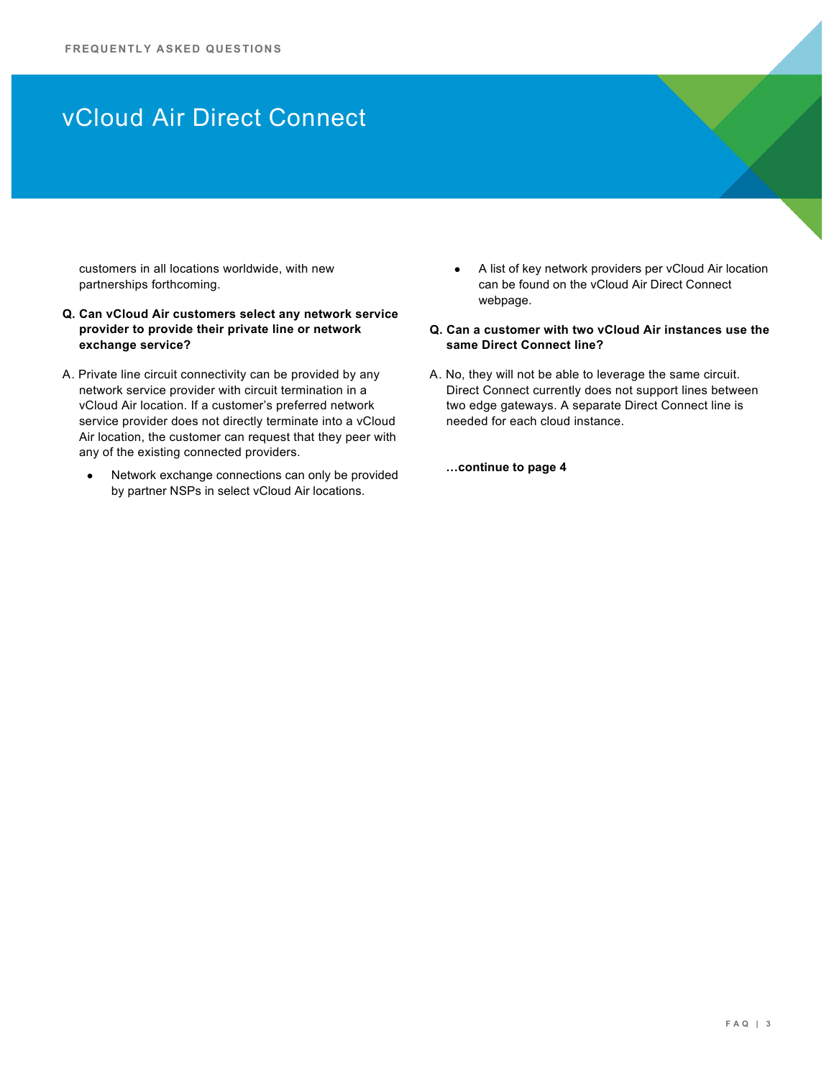# vCloud Air Direct Connect

customers in all locations worldwide, with new partnerships forthcoming.

- **Q. Can vCloud Air customers select any network service provider to provide their private line or network exchange service?**
- A. Private line circuit connectivity can be provided by any network service provider with circuit termination in a vCloud Air location. If a customer's preferred network service provider does not directly terminate into a vCloud Air location, the customer can request that they peer with any of the existing connected providers.
	- Network exchange connections can only be provided by partner NSPs in select vCloud Air locations.
- A list of key network providers per vCloud Air location can be found on the vCloud Air Direct Connect webpage.
- **Q. Can a customer with two vCloud Air instances use the same Direct Connect line?**
- A. No, they will not be able to leverage the same circuit. Direct Connect currently does not support lines between two edge gateways. A separate Direct Connect line is needed for each cloud instance.
	- **…continue to page 4**